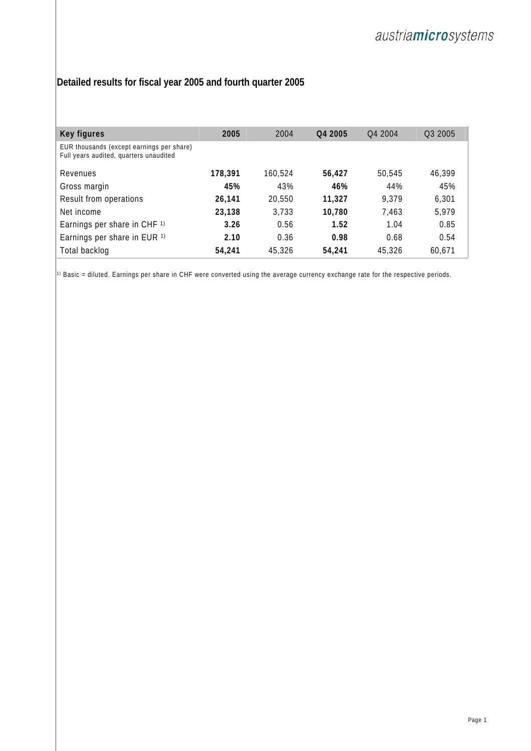## **Detailed results for fiscal year 2005 and fourth quarter 2005**

| Key figures                                                                         | 2005    | 2004    | Q4 2005 | O <sub>4</sub> 2004 | Q3 2005 |
|-------------------------------------------------------------------------------------|---------|---------|---------|---------------------|---------|
| EUR thousands (except earnings per share)<br>Full years audited, quarters unaudited |         |         |         |                     |         |
| Revenues                                                                            | 178,391 | 160,524 | 56,427  | 50.545              | 46,399  |
| Gross margin                                                                        | 45%     | 43%     | 46%     | 44%                 | 45%     |
| Result from operations                                                              | 26.141  | 20,550  | 11,327  | 9,379               | 6,301   |
| Net income                                                                          | 23,138  | 3,733   | 10.780  | 7.463               | 5,979   |
| Earnings per share in CHF <sup>1)</sup>                                             | 3.26    | 0.56    | 1.52    | 1.04                | 0.85    |
| Earnings per share in EUR 1)                                                        | 2.10    | 0.36    | 0.98    | 0.68                | 0.54    |
| Total backlog                                                                       | 54,241  | 45,326  | 54,241  | 45,326              | 60.671  |

 $\left| \cdot\right|$  Basic = diluted. Earnings per share in CHF were converted using the average currency exchange rate for the respective periods.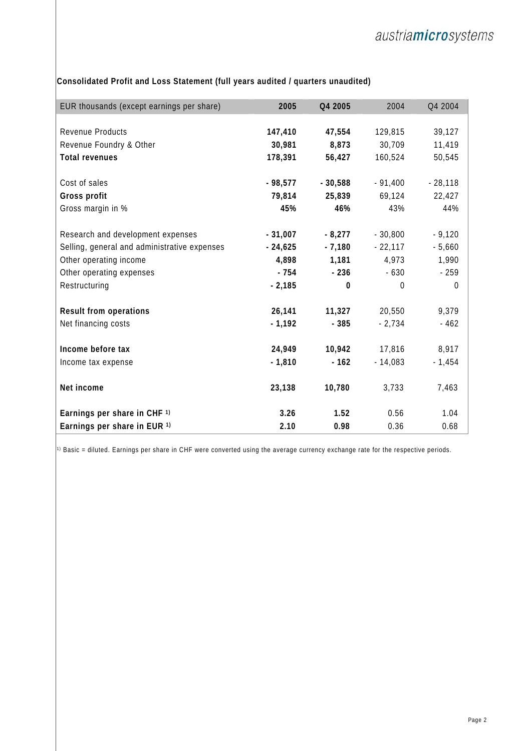| EUR thousands (except earnings per share)    | 2005      | Q4 2005   | 2004           | Q4 2004        |
|----------------------------------------------|-----------|-----------|----------------|----------------|
|                                              |           |           |                |                |
| Revenue Products                             | 147,410   | 47,554    | 129,815        | 39,127         |
| Revenue Foundry & Other                      | 30,981    | 8,873     | 30,709         | 11,419         |
| <b>Total revenues</b>                        | 178,391   | 56,427    | 160,524        | 50,545         |
|                                              |           |           |                |                |
| Cost of sales                                | $-98,577$ | $-30,588$ | $-91,400$      | $-28,118$      |
| Gross profit                                 | 79,814    | 25,839    | 69,124         | 22,427         |
| Gross margin in %                            | 45%       | 46%       | 43%            | 44%            |
|                                              |           |           |                |                |
| Research and development expenses            | $-31,007$ | $-8,277$  | $-30,800$      | $-9,120$       |
| Selling, general and administrative expenses | $-24,625$ | $-7,180$  | $-22,117$      | $-5,660$       |
| Other operating income                       | 4,898     | 1,181     | 4,973          | 1,990          |
| Other operating expenses                     | $-754$    | $-236$    | $-630$         | $-259$         |
| Restructuring                                | $-2,185$  | 0         | $\overline{0}$ | $\overline{0}$ |
|                                              |           |           |                |                |
| Result from operations                       | 26,141    | 11,327    | 20,550         | 9,379          |
| Net financing costs                          | $-1,192$  | $-385$    | $-2,734$       | $-462$         |
|                                              |           |           |                |                |
| Income before tax                            | 24,949    | 10,942    | 17,816         | 8,917          |
| Income tax expense                           | $-1,810$  | $-162$    | $-14,083$      | $-1,454$       |
|                                              |           |           |                |                |
| Net income                                   | 23,138    | 10,780    | 3,733          | 7,463          |
|                                              |           |           |                |                |
| Earnings per share in CHF 1)                 | 3.26      | 1.52      | 0.56           | 1.04           |
| Earnings per share in EUR 1)                 | 2.10      | 0.98      | 0.36           | 0.68           |

**Consolidated Profit and Loss Statement (full years audited / quarters unaudited)**

 $\left| \cdot\right|$  Basic = diluted. Earnings per share in CHF were converted using the average currency exchange rate for the respective periods.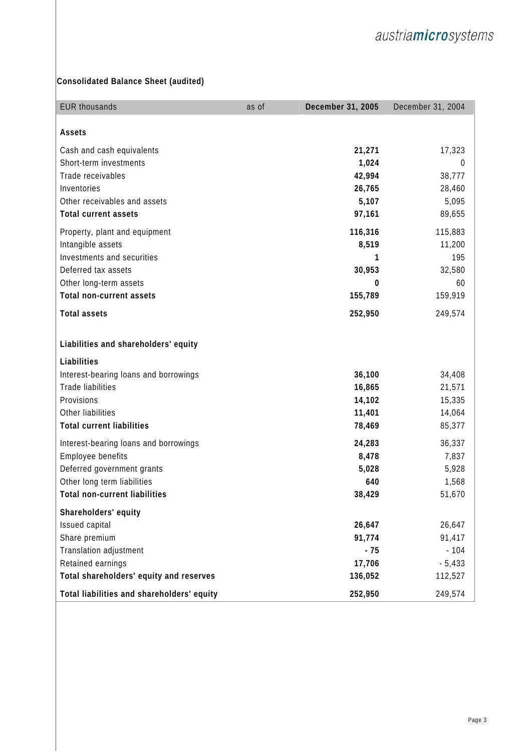## **Consolidated Balance Sheet (audited)**

| <b>EUR thousands</b>                                       | as of | December 31, 2005 | December 31, 2004 |
|------------------------------------------------------------|-------|-------------------|-------------------|
| Assets                                                     |       |                   |                   |
|                                                            |       |                   |                   |
| Cash and cash equivalents                                  |       | 21,271            | 17,323            |
| Short-term investments                                     |       | 1,024             | $\theta$          |
| Trade receivables                                          |       | 42,994            | 38,777            |
| Inventories                                                |       | 26,765            | 28,460            |
| Other receivables and assets                               |       | 5,107             | 5,095<br>89,655   |
| <b>Total current assets</b>                                |       | 97,161            |                   |
| Property, plant and equipment                              |       | 116,316           | 115,883           |
| Intangible assets                                          |       | 8,519             | 11,200            |
| Investments and securities                                 |       | 1                 | 195               |
| Deferred tax assets                                        |       | 30,953            | 32,580            |
| Other long-term assets                                     |       | 0                 | 60                |
| <b>Total non-current assets</b>                            |       | 155,789           | 159,919           |
| <b>Total assets</b>                                        |       | 252,950           | 249,574           |
| Liabilities and shareholders' equity                       |       |                   |                   |
| Liabilities                                                |       |                   |                   |
| Interest-bearing loans and borrowings                      |       | 36,100            | 34,408            |
| <b>Trade liabilities</b>                                   |       | 16,865            | 21,571            |
| Provisions                                                 |       | 14,102            | 15,335            |
| Other liabilities                                          |       | 11,401            | 14,064            |
| <b>Total current liabilities</b>                           |       | 78,469            | 85,377            |
|                                                            |       | 24,283            | 36,337            |
| Interest-bearing loans and borrowings<br>Employee benefits |       | 8,478             | 7,837             |
| Deferred government grants                                 |       | 5,028             | 5,928             |
| Other long term liabilities                                |       | 640               | 1,568             |
| <b>Total non-current liabilities</b>                       |       | 38,429            | 51,670            |
|                                                            |       |                   |                   |
| Shareholders' equity                                       |       |                   |                   |
| Issued capital                                             |       | 26,647            | 26,647            |
| Share premium                                              |       | 91,774            | 91,417            |
| Translation adjustment                                     |       | $-75$             | $-104$            |
| Retained earnings                                          |       | 17,706            | $-5,433$          |
| Total shareholders' equity and reserves                    |       | 136,052           | 112,527           |
| Total liabilities and shareholders' equity                 |       | 252,950           | 249,574           |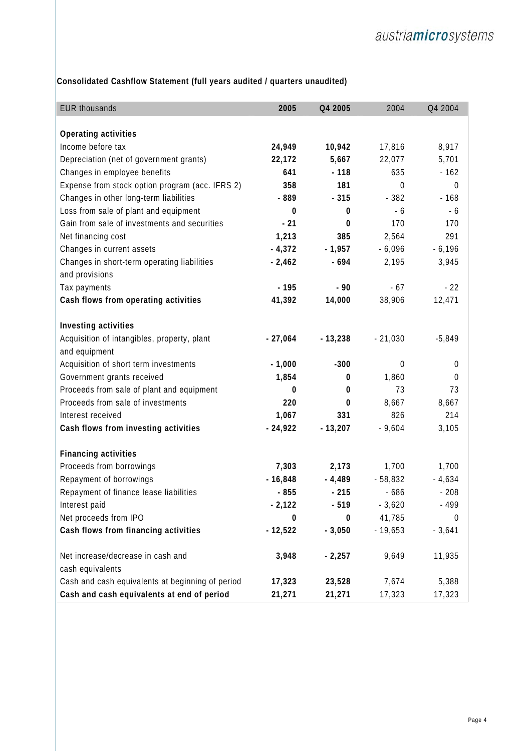**Consolidated Cashflow Statement (full years audited / quarters unaudited)** 

| <b>EUR thousands</b>                             | 2005         | Q4 2005   | 2004             | Q4 2004          |
|--------------------------------------------------|--------------|-----------|------------------|------------------|
|                                                  |              |           |                  |                  |
| Operating activities                             |              |           |                  |                  |
| Income before tax                                | 24,949       | 10,942    | 17,816           | 8,917            |
| Depreciation (net of government grants)          | 22,172       | 5,667     | 22,077           | 5,701            |
| Changes in employee benefits                     | 641          | $-118$    | 635              | $-162$           |
| Expense from stock option program (acc. IFRS 2)  | 358          | 181       | $\boldsymbol{0}$ | $\boldsymbol{0}$ |
| Changes in other long-term liabilities           | - 889        | $-315$    | $-382$           | $-168$           |
| Loss from sale of plant and equipment            | 0            | 0         | $-6$             | $-6$             |
| Gain from sale of investments and securities     | $-21$        | 0         | 170              | 170              |
| Net financing cost                               | 1,213        | 385       | 2,564            | 291              |
| Changes in current assets                        | $-4,372$     | $-1,957$  | $-6,096$         | $-6,196$         |
| Changes in short-term operating liabilities      | $-2,462$     | $-694$    | 2,195            | 3,945            |
| and provisions                                   |              |           |                  |                  |
| Tax payments                                     | $-195$       | $-90$     | $-67$            | $-22$            |
| Cash flows from operating activities             | 41,392       | 14,000    | 38,906           | 12,471           |
| Investing activities                             |              |           |                  |                  |
| Acquisition of intangibles, property, plant      | $-27,064$    | $-13,238$ | $-21,030$        | $-5,849$         |
| and equipment                                    |              |           |                  |                  |
| Acquisition of short term investments            | $-1,000$     | $-300$    | 0                | $\mathbf 0$      |
| Government grants received                       | 1,854        | 0         | 1,860            | $\boldsymbol{0}$ |
| Proceeds from sale of plant and equipment        | 0            | 0         | 73               | 73               |
| Proceeds from sale of investments                | 220          | 0         | 8,667            | 8,667            |
| Interest received                                | 1,067        | 331       | 826              | 214              |
| Cash flows from investing activities             | $-24,922$    | $-13,207$ | $-9,604$         | 3,105            |
|                                                  |              |           |                  |                  |
| <b>Financing activities</b>                      |              |           |                  |                  |
| Proceeds from borrowings                         | 7,303        | 2,173     | 1,700            | 1,700            |
| Repayment of borrowings                          | $-16,848$    | $-4,489$  | $-58,832$        | $-4,634$         |
| Repayment of finance lease liabilities           | $-855$       | $-215$    | $-686$           | $-208$           |
| Interest paid                                    | $-2,122$     | $-519$    | $-3,620$         | - 499            |
| Net proceeds from IPO                            | $\mathbf{0}$ | 0         | 41,785           | $\mathbf 0$      |
| Cash flows from financing activities             | $-12,522$    | $-3,050$  | $-19,653$        | $-3,641$         |
| Net increase/decrease in cash and                | 3,948        | $-2,257$  | 9,649            | 11,935           |
| cash equivalents                                 |              |           |                  |                  |
| Cash and cash equivalents at beginning of period | 17,323       | 23,528    | 7,674            | 5,388            |
| Cash and cash equivalents at end of period       | 21,271       | 21,271    | 17,323           | 17,323           |